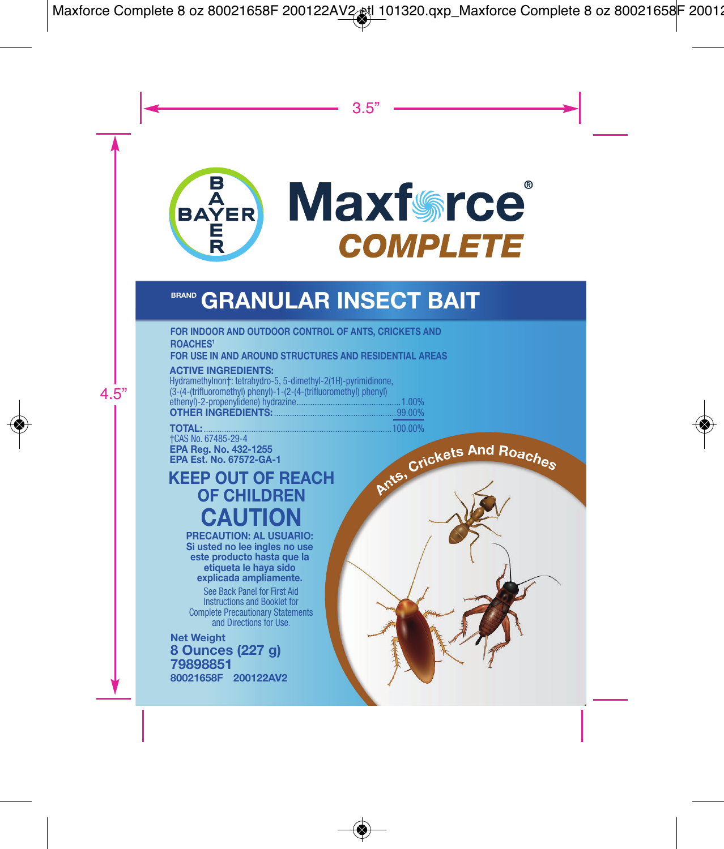

# **BRAND GRANULAR INSECT BAIT**

FOR INDOOR AND OUTDOOR CONTROL OF ANTS, CRICKETS AND **ROACHES!** 

FOR USE IN AND AROUND STRUCTURES AND RESIDENTIAL AREAS.

**ACTIVE INCREDIENTS:** 

Hydramethylnon+: tetrahydro-5, 5-dimethyl-2(1H)-pyrimidinone. (3-44-thrifluoromethyl) phenyl)-1-(2-(4-(trifluoromethyl) phenyl) ethenyl)-2-propenylidene) hydrazine.  $.1.00%$ **OTHER INGREDIENTS:** 99.00%

**TOTAL: +CAS No. 67485-29-4** EPA Reg. No. 432-1255 EPA Est. No. 67572-GA-1

**KEEP OUT OF REACH OF CHILDREN CAUTION** 

**PRECAUTION: AL USUARIO:** Si usted no lee ingles no use este producto hasta que la etiqueta le hava sido explicada ampliamente.

See Back Panel for First Aid Instructions and Booklet for **Complete Precautionary Statements** and Directions for Use

**Net Weight** 8 Ounces (227 a) 79898851 80021658F 200122AV2 Ants, Crickets And Roaches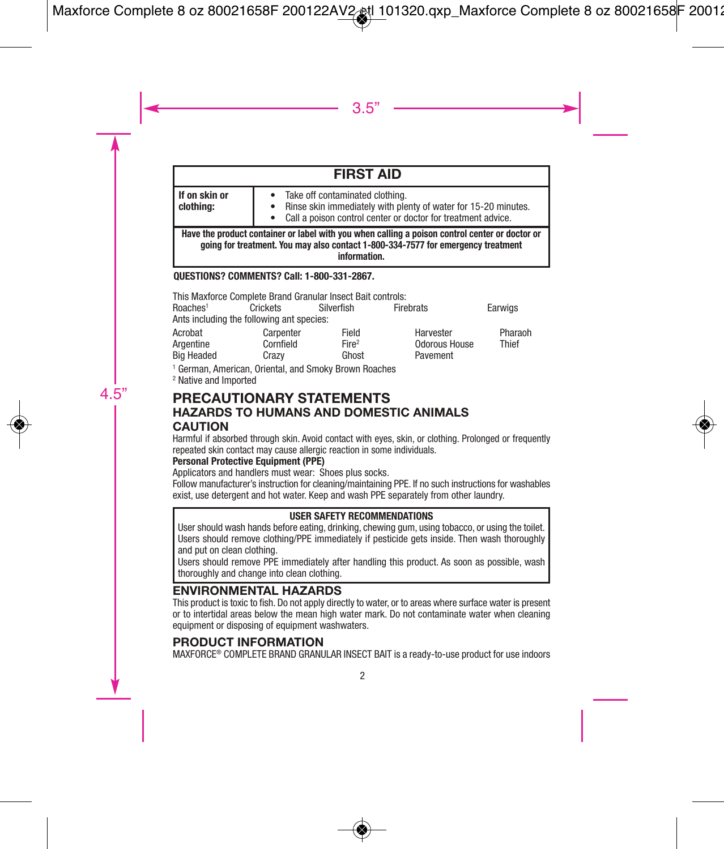| <b>FIRST AID</b>                                                                                                                                                                                   |                                                                                                                                                                         |  |  |  |
|----------------------------------------------------------------------------------------------------------------------------------------------------------------------------------------------------|-------------------------------------------------------------------------------------------------------------------------------------------------------------------------|--|--|--|
| If on skin or<br>clothina:                                                                                                                                                                         | • Take off contaminated clothing.<br>• Rinse skin immediately with plenty of water for 15-20 minutes.<br>• Call a poison control center or doctor for treatment advice. |  |  |  |
| Have the product container or label with you when calling a poison control center or doctor or<br>going for treatment. You may also contact 1-800-334-7577 for emergency treatment<br>information. |                                                                                                                                                                         |  |  |  |

### **QUESTIONS? COMMENTS? Call: 1-800-331-2867.**

|                      | This Maxforce Complete Brand Granular Insect Bait controls: |                   |                      |         |
|----------------------|-------------------------------------------------------------|-------------------|----------------------|---------|
| Roaches <sup>1</sup> | Crickets                                                    | Silverfish        | Firebrats            | Earwigs |
|                      | Ants including the following ant species:                   |                   |                      |         |
| Acrobat              | Carpenter                                                   | Field             | Harvester            | Pharaoh |
| Argentine            | Cornfield                                                   | Fire <sup>2</sup> | <b>Odorous House</b> | Thief   |
| <b>Big Headed</b>    | Crazv                                                       | Ghost             | Pavement             |         |

1 German, American, Oriental, and Smoky Brown Roaches

2 Native and Imported

### **PRECAUTIONARY STATEMENTS HAZARDS TO HUMANS AND DOMESTIC ANIMALS CAUTION**

Harmful if absorbed through skin. Avoid contact with eyes, skin, or clothing. Prolonged or frequently repeated skin contact may cause allergic reaction in some individuals.

### **Personal Protective Equipment (PPE)**

Applicators and handlers must wear: Shoes plus socks.

Follow manufacturer's instruction for cleaning/maintaining PPE. If no such instructions for washables exist, use detergent and hot water. Keep and wash PPE separately from other laundry.

### **USER SAFETY RECOMMENDATIONS**

User should wash hands before eating, drinking, chewing gum, using tobacco, or using the toilet. Users should remove clothing/PPE immediately if pesticide gets inside. Then wash thoroughly and put on clean clothing.

Users should remove PPE immediately after handling this product. As soon as possible, wash thoroughly and change into clean clothing.

## **ENVIRONMENTAL HAZARDS**

This product is toxic to fish. Do not apply directly to water, or to areas where surface water is present or to intertidal areas below the mean high water mark. Do not contaminate water when cleaning equipment or disposing of equipment washwaters.

### **PRODUCT INFORMATION**

MAXFORCE® COMPLETE BRAND GRANULAR INSECT BAIT is a ready-to-use product for use indoors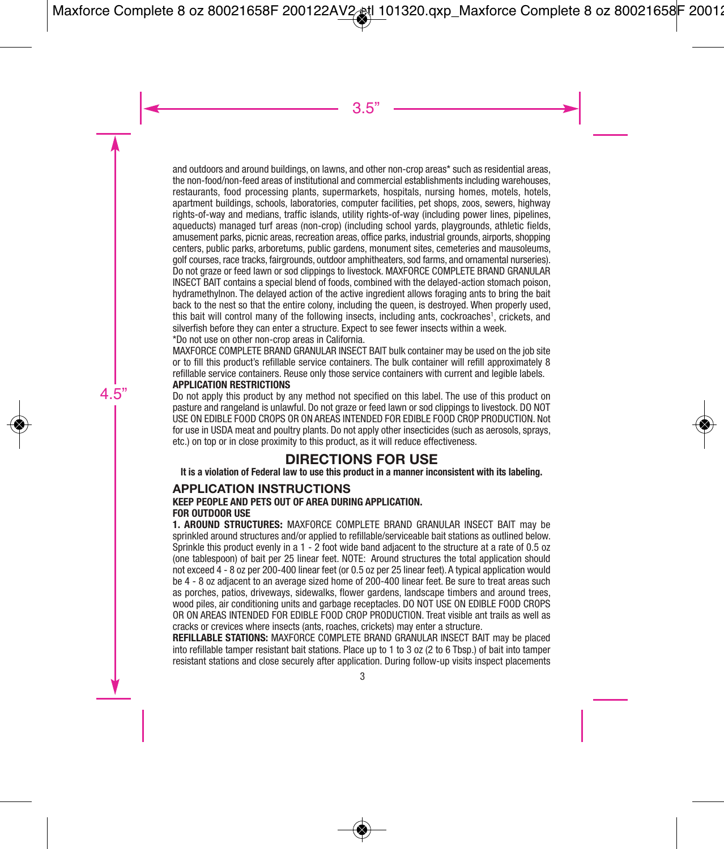and outdoors and around buildings, on lawns, and other non-crop areas\* such as residential areas, the non-food/non-feed areas of institutional and commercial establishments including warehouses, restaurants, food processing plants, supermarkets, hospitals, nursing homes, motels, hotels, apartment buildings, schools, laboratories, computer facilities, pet shops, zoos, sewers, highway rights-of-way and medians, traffic islands, utility rights-of-way (including power lines, pipelines, aqueducts) managed turf areas (non-crop) (including school yards, playgrounds, athletic fields, amusement parks, picnic areas, recreation areas, office parks, industrial grounds, airports, shopping centers, public parks, arboretums, public gardens, monument sites, cemeteries and mausoleums, golf courses, race tracks, fairgrounds, outdoor amphitheaters, sod farms, and ornamental nurseries). Do not graze or feed lawn or sod clippings to livestock. MAXFORCE COMPLETE BRAND GRANULAR INSECT BAIT contains a special blend of foods, combined with the delayed-action stomach poison, hydramethylnon. The delayed action of the active ingredient allows foraging ants to bring the bait back to the nest so that the entire colony, including the queen, is destroyed. When properly used, this bait will control many of the following insects, including ants, cockroaches1, crickets, and silverfish before they can enter a structure. Expect to see fewer insects within a week.

\*Do not use on other non-crop areas in California.

MAXFORCE COMPLETE BRAND GRANULAR INSECT BAIT bulk container may be used on the job site or to fill this product's refillable service containers. The bulk container will refill approximately 8 refillable service containers. Reuse only those service containers with current and legible labels. **APPLICATION RESTRICTIONS**

Do not apply this product by any method not specified on this label. The use of this product on pasture and rangeland is unlawful. Do not graze or feed lawn or sod clippings to livestock. DO NOT USE ON EDIBLE FOOD CROPS OR ON AREAS INTENDED FOR EDIBLE FOOD CROP PRODUCTION. Not for use in USDA meat and poultry plants. Do not apply other insecticides (such as aerosols, sprays, etc.) on top or in close proximity to this product, as it will reduce effectiveness.

## **DIRECTIONS FOR USE**

**It is a violation of Federal law to use this product in a manner inconsistent with its labeling.**

## **APPLICATION INSTRUCTIONS**

### **KEEP PEOPLE AND PETS OUT OF AREA DURING APPLICATION.**

### **FOR OUTDOOR USE**

**1. AROUND STRUCTURES:** MAXFORCE COMPLETE BRAND GRANULAR INSECT BAIT may be sprinkled around structures and/or applied to refillable/serviceable bait stations as outlined below. Sprinkle this product evenly in a 1 - 2 foot wide band adjacent to the structure at a rate of 0.5 oz (one tablespoon) of bait per 25 linear feet. NOTE: Around structures the total application should not exceed 4 - 8 oz per 200-400 linear feet (or 0.5 oz per 25 linear feet). A typical application would be 4 - 8 oz adjacent to an average sized home of 200-400 linear feet. Be sure to treat areas such as porches, patios, driveways, sidewalks, flower gardens, landscape timbers and around trees, wood piles, air conditioning units and garbage receptacles. DO NOT USE ON EDIBLE FOOD CROPS OR ON AREAS INTENDED FOR EDIBLE FOOD CROP PRODUCTION. Treat visible ant trails as well as cracks or crevices where insects (ants, roaches, crickets) may enter a structure.

**REFILLABLE STATIONS:** MAXFORCE COMPLETE BRAND GRANULAR INSECT BAIT may be placed into refillable tamper resistant bait stations. Place up to 1 to 3 oz (2 to 6 Tbsp.) of bait into tamper resistant stations and close securely after application. During follow-up visits inspect placements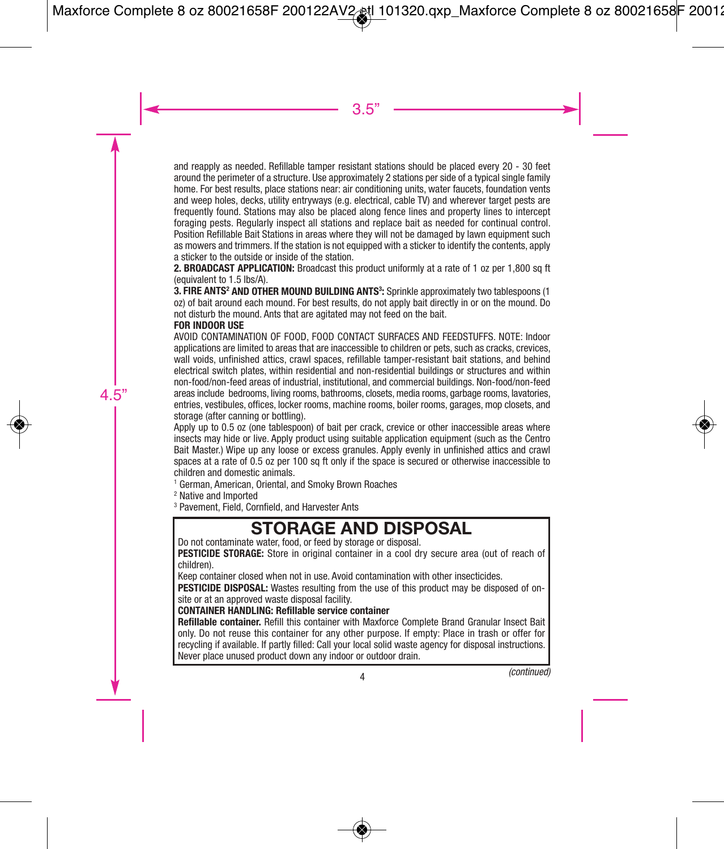and reapply as needed. Refillable tamper resistant stations should be placed every 20 - 30 feet around the perimeter of a structure. Use approximately 2 stations per side of a typical single family home. For best results, place stations near: air conditioning units, water faucets, foundation vents and weep holes, decks, utility entryways (e.g. electrical, cable TV) and wherever target pests are frequently found. Stations may also be placed along fence lines and property lines to intercept foraging pests. Regularly inspect all stations and replace bait as needed for continual control. Position Refillable Bait Stations in areas where they will not be damaged by lawn equipment such as mowers and trimmers. If the station is not equipped with a sticker to identify the contents, apply a sticker to the outside or inside of the station.

2. **BROADCAST APPLICATION:** Broadcast this product uniformly at a rate of 1 oz per 1,800 sq ft (equivalent to 1.5 lbs/A).

**3. FIRE ANTS<sup>2</sup> AND OTHER MOUND BUILDING ANTS<sup>3</sup>: Sprinkle approximately two tablespoons (1** oz) of bait around each mound. For best results, do not apply bait directly in or on the mound. Do not disturb the mound. Ants that are agitated may not feed on the bait.

#### **FOR INDOOR USE**

AVOID CONTAMINATION OF FOOD, FOOD CONTACT SURFACES AND FEEDSTUFFS. NOTE: Indoor applications are limited to areas that are inaccessible to children or pets, such as cracks, crevices, wall voids, unfinished attics, crawl spaces, refillable tamper-resistant bait stations, and behind electrical switch plates, within residential and non-residential buildings or structures and within non-food/non-feed areas of industrial, institutional, and commercial buildings. Non-food/non-feed areas include bedrooms, living rooms, bathrooms, closets, media rooms, garbage rooms, lavatories, entries, vestibules, offices, locker rooms, machine rooms, boiler rooms, garages, mop closets, and storage (after canning or bottling).

Apply up to 0.5 oz (one tablespoon) of bait per crack, crevice or other inaccessible areas where insects may hide or live. Apply product using suitable application equipment (such as the Centro Bait Master.) Wipe up any loose or excess granules. Apply evenly in unfinished attics and crawl spaces at a rate of 0.5 oz per 100 sq ft only if the space is secured or otherwise inaccessible to children and domestic animals.

1 German, American, Oriental, and Smoky Brown Roaches

2 Native and Imported

3 Pavement, Field, Cornfield, and Harvester Ants

## **STORAGE AND DISPOSAL**

Do not contaminate water, food, or feed by storage or disposal.

**PESTICIDE STORAGE:** Store in original container in a cool dry secure area (out of reach of children).

Keep container closed when not in use. Avoid contamination with other insecticides.

**PESTICIDE DISPOSAL:** Wastes resulting from the use of this product may be disposed of onsite or at an approved waste disposal facility.

#### **CONTAINER HANDLING: Refillable service container**

**Refillable container.** Refill this container with Maxforce Complete Brand Granular Insect Bait only. Do not reuse this container for any other purpose. If empty: Place in trash or offer for recycling if available. If partly filled: Call your local solid waste agency for disposal instructions. Never place unused product down any indoor or outdoor drain.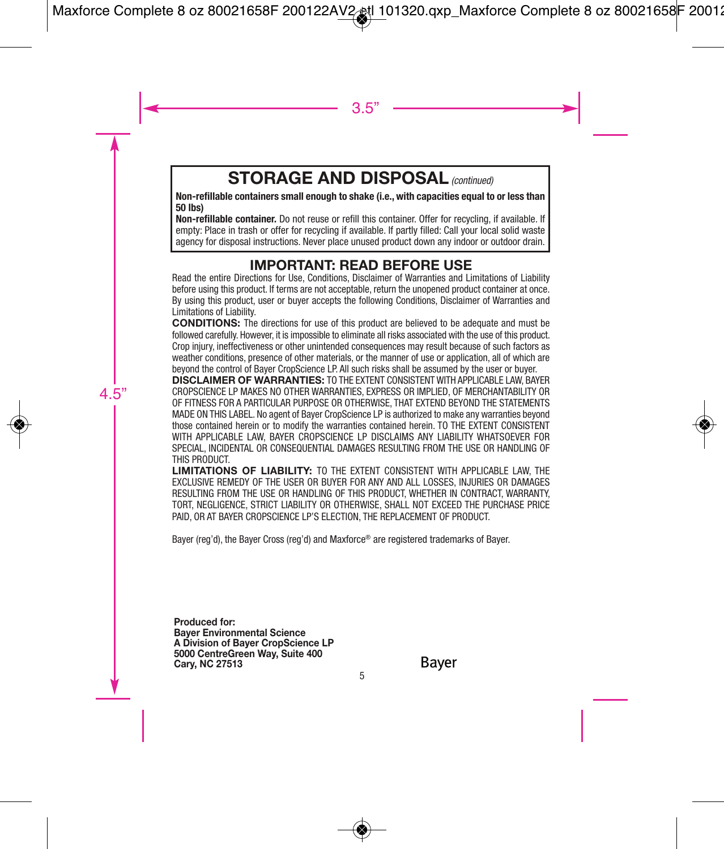## **STORAGE AND DISPOSAL** (continued)

**Non-refillable containers small enough to shake (i.e., with capacities equal to or less than 50 lbs)**

**Non-refillable container.** Do not reuse or refill this container. Offer for recycling, if available. If empty: Place in trash or offer for recycling if available. If partly filled: Call your local solid waste agency for disposal instructions. Never place unused product down any indoor or outdoor drain.

## **IMPORTANT: READ BEFORE USE**

Read the entire Directions for Use, Conditions, Disclaimer of Warranties and Limitations of Liability before using this product. If terms are not acceptable, return the unopened product container at once. By using this product, user or buyer accepts the following Conditions, Disclaimer of Warranties and Limitations of Liability.

**CONDITIONS:** The directions for use of this product are believed to be adequate and must be followed carefully. However, it is impossible to eliminate all risks associated with the use of this product. Crop injury, ineffectiveness or other unintended consequences may result because of such factors as weather conditions, presence of other materials, or the manner of use or application, all of which are beyond the control of Bayer CropScience LP. All such risks shall be assumed by the user or buyer.

**DISCLAIMER OF WARRANTIES:** TO THE EXTENT CONSISTENT WITH APPLICABLE LAW, BAYER CROPSCIENCE LP MAKES NO OTHER WARRANTIES, EXPRESS OR IMPLIED, OF MERCHANTABILITY OR OF FITNESS FOR A PARTICULAR PURPOSE OR OTHERWISE, THAT EXTEND BEYOND THE STATEMENTS MADE ON THIS LABEL. No agent of Bayer CropScience LP is authorized to make any warranties beyond those contained herein or to modify the warranties contained herein. TO THE EXTENT CONSISTENT WITH APPLICABLE LAW, BAYER CROPSCIENCE LP DISCLAIMS ANY LIABILITY WHATSOEVER FOR SPECIAL, INCIDENTAL OR CONSEQUENTIAL DAMAGES RESULTING FROM THE USE OR HANDLING OF THIS PRODUCT.

**LIMITATIONS OF LIABILITY:** TO THE EXTENT CONSISTENT WITH APPLICABLE LAW, THE EXCLUSIVE REMEDY OF THE USER OR BUYER FOR ANY AND ALL LOSSES, INJURIES OR DAMAGES RESULTING FROM THE USE OR HANDLING OF THIS PRODUCT, WHETHER IN CONTRACT, WARRANTY TORT, NEGLIGENCE, STRICT LIABILITY OR OTHERWISE, SHALL NOT EXCEED THE PURCHASE PRICE PAID, OR AT BAYER CROPSCIENCE LP'S ELECTION, THE REPLACEMENT OF PRODUCT.

Bayer (reg'd), the Bayer Cross (reg'd) and Maxforce® are registered trademarks of Bayer.

**Produced for: Bayer Environmental Science A Division of Bayer CropScience LP 5000 CentreGreen Way, Suite 400 Cary, NC 27513**